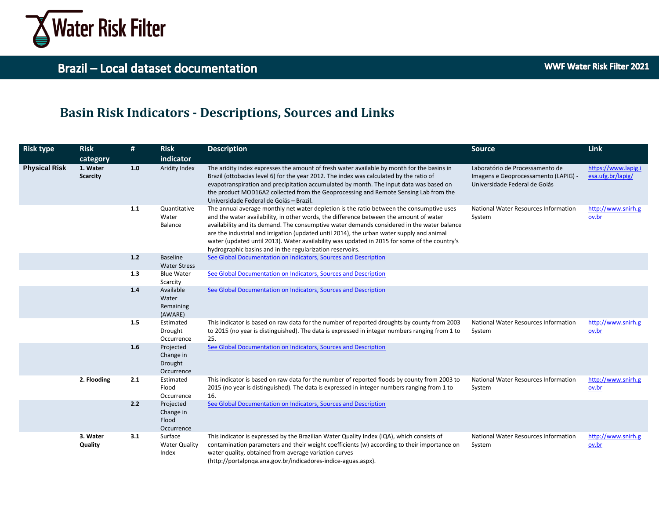

### **Basin Risk Indicators - Descriptions, Sources and Links**

| <b>Risk type</b>     | <b>Risk</b>                 | #     | <b>Risk</b>                                     | <b>Description</b>                                                                                                                                                                                                                                                                                                                                                                                                                                                                                                                         | <b>Source</b>                                                                                            | Link                                     |
|----------------------|-----------------------------|-------|-------------------------------------------------|--------------------------------------------------------------------------------------------------------------------------------------------------------------------------------------------------------------------------------------------------------------------------------------------------------------------------------------------------------------------------------------------------------------------------------------------------------------------------------------------------------------------------------------------|----------------------------------------------------------------------------------------------------------|------------------------------------------|
|                      | category                    |       | indicator                                       |                                                                                                                                                                                                                                                                                                                                                                                                                                                                                                                                            |                                                                                                          |                                          |
| <b>Physical Risk</b> | 1. Water<br><b>Scarcity</b> | 1.0   | Aridity Index                                   | The aridity index expresses the amount of fresh water available by month for the basins in<br>Brazil (ottobacias level 6) for the year 2012. The index was calculated by the ratio of<br>evapotranspiration and precipitation accumulated by month. The input data was based on<br>the product MOD16A2 collected from the Geoprocessing and Remote Sensing Lab from the<br>Universidade Federal de Goiás - Brazil.                                                                                                                         | Laboratório de Processamento de<br>Imagens e Geoprocessamento (LAPIG) -<br>Universidade Federal de Goiás | https://www.lapig.i<br>esa.ufg.br/lapig/ |
|                      |                             | 1.1   | Quantitative<br>Water<br>Balance                | The annual average monthly net water depletion is the ratio between the consumptive uses<br>and the water availability, in other words, the difference between the amount of water<br>availability and its demand. The consumptive water demands considered in the water balance<br>are the industrial and irrigation (updated until 2014), the urban water supply and animal<br>water (updated until 2013). Water availability was updated in 2015 for some of the country's<br>hydrographic basins and in the regularization reservoirs. | National Water Resources Information<br>System                                                           | http://www.snirh.g<br>ov.br              |
|                      |                             | $1.2$ | <b>Baseline</b><br><b>Water Stress</b>          | See Global Documentation on Indicators, Sources and Description                                                                                                                                                                                                                                                                                                                                                                                                                                                                            |                                                                                                          |                                          |
|                      |                             | 1.3   | <b>Blue Water</b><br>Scarcity                   | See Global Documentation on Indicators, Sources and Description                                                                                                                                                                                                                                                                                                                                                                                                                                                                            |                                                                                                          |                                          |
|                      |                             | $1.4$ | Available<br>Water<br>Remaining<br>(AWARE)      | See Global Documentation on Indicators, Sources and Description                                                                                                                                                                                                                                                                                                                                                                                                                                                                            |                                                                                                          |                                          |
|                      |                             | 1.5   | Estimated<br>Drought<br>Occurrence              | This indicator is based on raw data for the number of reported droughts by county from 2003<br>to 2015 (no year is distinguished). The data is expressed in integer numbers ranging from 1 to<br>25.                                                                                                                                                                                                                                                                                                                                       | National Water Resources Information<br>System                                                           | http://www.snirh.g<br>ov.br              |
|                      |                             | 1.6   | Projected<br>Change in<br>Drought<br>Occurrence | See Global Documentation on Indicators, Sources and Description                                                                                                                                                                                                                                                                                                                                                                                                                                                                            |                                                                                                          |                                          |
|                      | 2. Flooding                 | 2.1   | Estimated<br>Flood<br>Occurrence                | This indicator is based on raw data for the number of reported floods by county from 2003 to<br>2015 (no year is distinguished). The data is expressed in integer numbers ranging from 1 to<br>16.                                                                                                                                                                                                                                                                                                                                         | National Water Resources Information<br>System                                                           | http://www.snirh.g<br>ov.br              |
|                      |                             | 2.2   | Projected<br>Change in<br>Flood<br>Occurrence   | See Global Documentation on Indicators, Sources and Description                                                                                                                                                                                                                                                                                                                                                                                                                                                                            |                                                                                                          |                                          |
|                      | 3. Water<br>Quality         | 3.1   | Surface<br><b>Water Quality</b><br>Index        | This indicator is expressed by the Brazilian Water Quality Index (IQA), which consists of<br>contamination parameters and their weight coefficients (w) according to their importance on<br>water quality, obtained from average variation curves<br>(http://portalpnqa.ana.gov.br/indicadores-indice-aguas.aspx).                                                                                                                                                                                                                         | National Water Resources Information<br>System                                                           | http://www.snirh.g<br>ov.br              |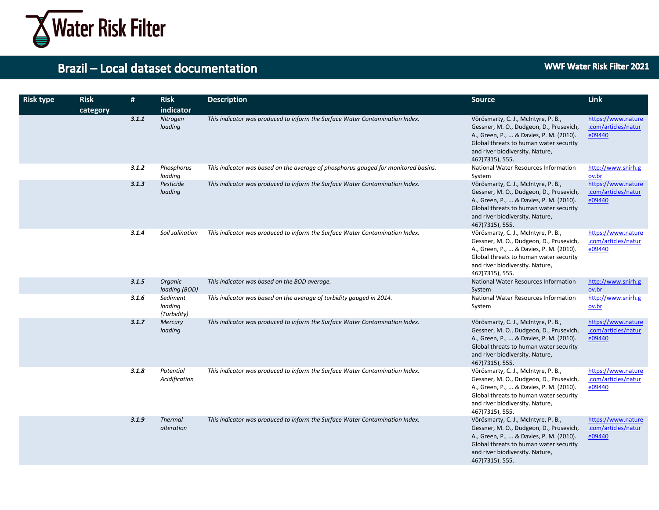

| <b>Risk type</b> | <b>Risk</b><br>category | #     | <b>Risk</b><br>indicator           | <b>Description</b>                                                                 | <b>Source</b>                                                                                                                                                                                                             | Link                                                |
|------------------|-------------------------|-------|------------------------------------|------------------------------------------------------------------------------------|---------------------------------------------------------------------------------------------------------------------------------------------------------------------------------------------------------------------------|-----------------------------------------------------|
|                  |                         | 3.1.1 | Nitrogen<br>loading                | This indicator was produced to inform the Surface Water Contamination Index.       | Vörösmarty, C. J., McIntyre, P. B.,<br>Gessner, M. O., Dudgeon, D., Prusevich,<br>A., Green, P.,  & Davies, P. M. (2010).<br>Global threats to human water security<br>and river biodiversity. Nature,<br>467(7315), 555. | https://www.nature<br>.com/articles/natur<br>e09440 |
|                  |                         | 3.1.2 | Phosphorus<br>loading              | This indicator was based on the average of phosphorus gauged for monitored basins. | National Water Resources Information<br>System                                                                                                                                                                            | http://www.snirh.g<br>ov.br                         |
|                  |                         | 3.1.3 | Pesticide<br>loading               | This indicator was produced to inform the Surface Water Contamination Index.       | Vörösmarty, C. J., McIntyre, P. B.,<br>Gessner, M. O., Dudgeon, D., Prusevich,<br>A., Green, P.,  & Davies, P. M. (2010).<br>Global threats to human water security<br>and river biodiversity. Nature,<br>467(7315), 555. | https://www.nature<br>.com/articles/natur<br>e09440 |
|                  |                         | 3.1.4 | Soil salination                    | This indicator was produced to inform the Surface Water Contamination Index.       | Vörösmarty, C. J., McIntyre, P. B.,<br>Gessner, M. O., Dudgeon, D., Prusevich,<br>A., Green, P.,  & Davies, P. M. (2010).<br>Global threats to human water security<br>and river biodiversity. Nature,<br>467(7315), 555. | https://www.nature<br>.com/articles/natur<br>e09440 |
|                  |                         | 3.1.5 | Organic<br>loading (BOD)           | This indicator was based on the BOD average.                                       | National Water Resources Information<br>System                                                                                                                                                                            | http://www.snirh.g<br>ov.br                         |
|                  |                         | 3.1.6 | Sediment<br>loading<br>(Turbidity) | This indicator was based on the average of turbidity gauged in 2014.               | National Water Resources Information<br>System                                                                                                                                                                            | http://www.snirh.g<br>ov.br                         |
|                  |                         | 3.1.7 | <b>Mercury</b><br>loading          | This indicator was produced to inform the Surface Water Contamination Index.       | Vörösmarty, C. J., McIntyre, P. B.,<br>Gessner, M. O., Dudgeon, D., Prusevich,<br>A., Green, P.,  & Davies, P. M. (2010).<br>Global threats to human water security<br>and river biodiversity. Nature,<br>467(7315), 555. | https://www.nature<br>.com/articles/natur<br>e09440 |
|                  |                         | 3.1.8 | Potential<br>Acidification         | This indicator was produced to inform the Surface Water Contamination Index.       | Vörösmarty, C. J., McIntyre, P. B.,<br>Gessner, M. O., Dudgeon, D., Prusevich,<br>A., Green, P.,  & Davies, P. M. (2010).<br>Global threats to human water security<br>and river biodiversity. Nature,<br>467(7315), 555. | https://www.nature<br>.com/articles/natur<br>e09440 |
|                  |                         | 3.1.9 | <b>Thermal</b><br>alteration       | This indicator was produced to inform the Surface Water Contamination Index.       | Vörösmarty, C. J., McIntyre, P. B.,<br>Gessner, M. O., Dudgeon, D., Prusevich,<br>A., Green, P.,  & Davies, P. M. (2010).<br>Global threats to human water security<br>and river biodiversity. Nature,<br>467(7315), 555. | https://www.nature<br>.com/articles/natur<br>e09440 |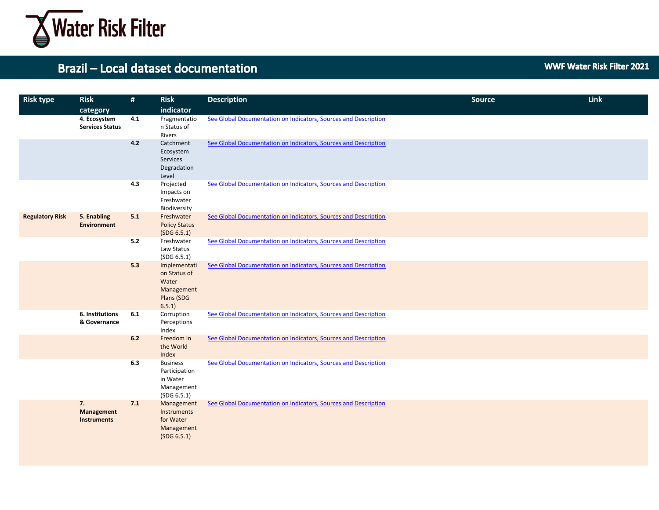

| <b>Risk type</b>       | <b>Risk</b><br>category                | $\#$ | <b>Risk</b><br>indicator                                                   | <b>Description</b>                                              | <b>Source</b> | <b>Link</b> |
|------------------------|----------------------------------------|------|----------------------------------------------------------------------------|-----------------------------------------------------------------|---------------|-------------|
|                        | 4. Ecosystem<br><b>Services Status</b> | 4.1  | Fragmentatio<br>n Status of<br>Rivers                                      | See Global Documentation on Indicators, Sources and Description |               |             |
|                        |                                        | 4.2  | Catchment<br>Ecosystem<br>Services<br>Degradation<br>Level                 | See Global Documentation on Indicators, Sources and Description |               |             |
|                        |                                        | 4.3  | Projected<br>Impacts on<br>Freshwater<br>Biodiversity                      | See Global Documentation on Indicators, Sources and Description |               |             |
| <b>Regulatory Risk</b> | 5. Enabling<br><b>Environment</b>      | 5.1  | Freshwater<br><b>Policy Status</b><br>(SDG 6.5.1)                          | See Global Documentation on Indicators, Sources and Description |               |             |
|                        |                                        | 5.2  | Freshwater<br>Law Status<br>(SDG 6.5.1)                                    | See Global Documentation on Indicators, Sources and Description |               |             |
|                        |                                        | 5.3  | Implementati<br>on Status of<br>Water<br>Management<br>Plans (SDG<br>6.5.1 | See Global Documentation on Indicators, Sources and Description |               |             |
|                        | 6. Institutions<br>& Governance        | 6.1  | Corruption<br>Perceptions<br>Index                                         | See Global Documentation on Indicators, Sources and Description |               |             |
|                        |                                        | 6.2  | Freedom in<br>the World<br>Index                                           | See Global Documentation on Indicators, Sources and Description |               |             |
|                        |                                        | 6.3  | <b>Business</b><br>Participation<br>in Water<br>Management<br>(SDG 6.5.1)  | See Global Documentation on Indicators, Sources and Description |               |             |
|                        | 7.<br>Management<br><b>Instruments</b> | 7.1  | Management<br>Instruments<br>for Water<br>Management<br>(SDG 6.5.1)        | See Global Documentation on Indicators, Sources and Description |               |             |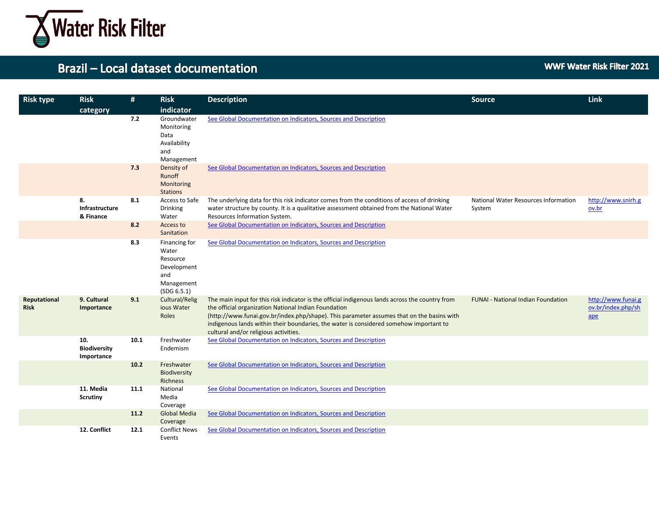

| <b>Risk type</b>            | <b>Risk</b><br>category                  | #    | <b>Risk</b><br>indicator                                                              | <b>Description</b>                                                                                                                                                                                                                                                                                                                                                                      | <b>Source</b>                                  | Link                                                     |
|-----------------------------|------------------------------------------|------|---------------------------------------------------------------------------------------|-----------------------------------------------------------------------------------------------------------------------------------------------------------------------------------------------------------------------------------------------------------------------------------------------------------------------------------------------------------------------------------------|------------------------------------------------|----------------------------------------------------------|
|                             |                                          | 7.2  | Groundwater<br>Monitoring<br>Data<br>Availability<br>and<br>Management                | See Global Documentation on Indicators, Sources and Description                                                                                                                                                                                                                                                                                                                         |                                                |                                                          |
|                             |                                          | 7.3  | Density of<br>Runoff<br>Monitoring<br><b>Stations</b>                                 | See Global Documentation on Indicators, Sources and Description                                                                                                                                                                                                                                                                                                                         |                                                |                                                          |
|                             | 8.<br>Infrastructure<br>& Finance        | 8.1  | Access to Safe<br><b>Drinking</b><br>Water                                            | The underlying data for this risk indicator comes from the conditions of access of drinking<br>water structure by county. It is a qualitative assessment obtained from the National Water<br>Resources Information System.                                                                                                                                                              | National Water Resources Information<br>System | http://www.snirh.g<br>ov.br                              |
|                             |                                          | 8.2  | Access to<br>Sanitation                                                               | See Global Documentation on Indicators, Sources and Description                                                                                                                                                                                                                                                                                                                         |                                                |                                                          |
|                             |                                          | 8.3  | Financing for<br>Water<br>Resource<br>Development<br>and<br>Management<br>(SDG 6.5.1) | See Global Documentation on Indicators, Sources and Description                                                                                                                                                                                                                                                                                                                         |                                                |                                                          |
| Reputational<br><b>Risk</b> | 9. Cultural<br>Importance                | 9.1  | Cultural/Relig<br>ious Water<br>Roles                                                 | The main input for this risk indicator is the official indigenous lands across the country from<br>the official organization National Indian Foundation<br>(http://www.funai.gov.br/index.php/shape). This parameter assumes that on the basins with<br>indigenous lands within their boundaries, the water is considered somehow important to<br>cultural and/or religious activities. | <b>FUNAI - National Indian Foundation</b>      | http://www.funai.g<br>ov.br/index.php/sh<br>$\mathbf{a}$ |
|                             | 10.<br><b>Biodiversity</b><br>Importance | 10.1 | Freshwater<br>Endemism                                                                | See Global Documentation on Indicators, Sources and Description                                                                                                                                                                                                                                                                                                                         |                                                |                                                          |
|                             |                                          | 10.2 | Freshwater<br>Biodiversity<br>Richness                                                | See Global Documentation on Indicators, Sources and Description                                                                                                                                                                                                                                                                                                                         |                                                |                                                          |
|                             | 11. Media<br><b>Scrutiny</b>             | 11.1 | National<br>Media<br>Coverage                                                         | See Global Documentation on Indicators, Sources and Description                                                                                                                                                                                                                                                                                                                         |                                                |                                                          |
|                             |                                          | 11.2 | <b>Global Media</b><br>Coverage                                                       | See Global Documentation on Indicators, Sources and Description                                                                                                                                                                                                                                                                                                                         |                                                |                                                          |
|                             | 12. Conflict                             | 12.1 | <b>Conflict News</b><br>Events                                                        | See Global Documentation on Indicators, Sources and Description                                                                                                                                                                                                                                                                                                                         |                                                |                                                          |